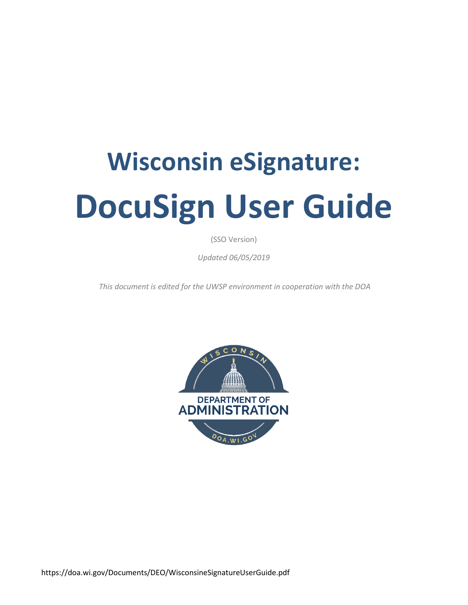# **Wisconsin eSignature: DocuSign User Guide**

(SSO Version)

*Updated 06/05/2019*

*This document is edited for the UWSP environment in cooperation with the DOA*

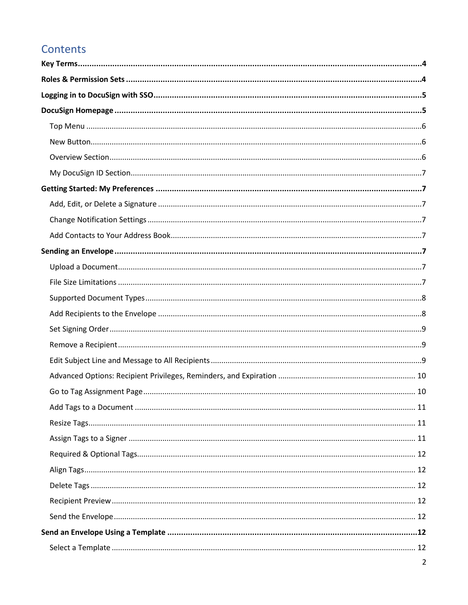## Contents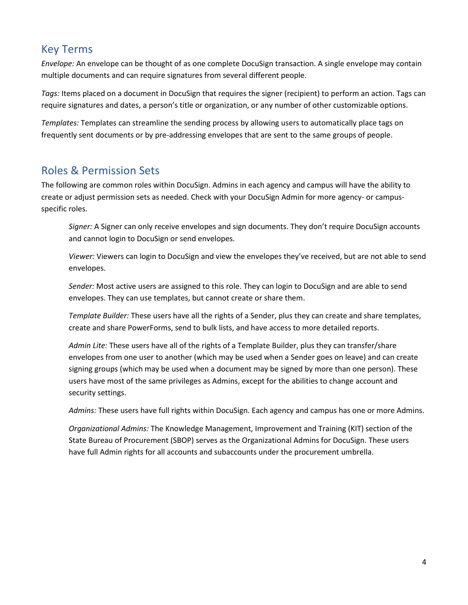## <span id="page-3-0"></span>Key Terms

*Envelope:* An envelope can be thought of as one complete DocuSign transaction. A single envelope may contain multiple documents and can require signatures from several different people.

*Tags:* Items placed on a document in DocuSign that requires the signer (recipient) to perform an action. Tags can require signatures and dates, a person's title or organization, or any number of other customizable options.

*Templates:* Templates can streamline the sending process by allowing users to automatically place tags on frequently sent documents or by pre-addressing envelopes that are sent to the same groups of people.

## <span id="page-3-1"></span>Roles & Permission Sets

The following are common roles within DocuSign. Admins in each agency and campus will have the ability to create or adjust permission sets as needed. Check with your DocuSign Admin for more agency- or campusspecific roles.

*Signer:* A Signer can only receive envelopes and sign documents. They don't require DocuSign accounts and cannot login to DocuSign or send envelopes.

*Viewer:* Viewers can login to DocuSign and view the envelopes they've received, but are not able to send envelopes.

*Sender:* Most active users are assigned to this role. They can login to DocuSign and are able to send envelopes. They can use templates, but cannot create or share them.

*Template Builder:* These users have all the rights of a Sender, plus they can create and share templates, create and share PowerForms, send to bulk lists, and have access to more detailed reports.

*Admin Lite:* These users have all of the rights of a Template Builder, plus they can transfer/share envelopes from one user to another (which may be used when a Sender goes on leave) and can create signing groups (which may be used when a document may be signed by more than one person). These users have most of the same privileges as Admins, except for the abilities to change account and security settings.

*Admins:* These users have full rights within DocuSign. Each agency and campus has one or more Admins.

*Organizational Admins:* The Knowledge Management, Improvement and Training (KIT) section of the State Bureau of Procurement (SBOP) serves as the Organizational Admins for DocuSign. These users have full Admin rights for all accounts and subaccounts under the procurement umbrella.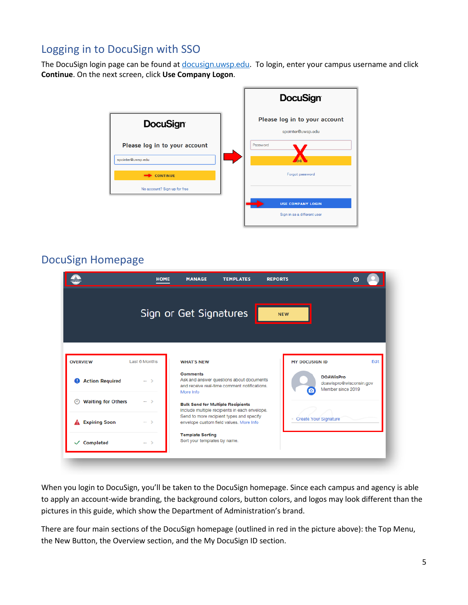## <span id="page-4-0"></span>Logging in to DocuSign with SSO

The DocuSign login page can be found at [docusign.uwsp.edu](https://docusign.uwsp.edu/). To login, enter your campus username and click **Continue**. On the next screen, click **Use Company Logon**.



## <span id="page-4-1"></span>DocuSign Homepage



When you login to DocuSign, you'll be taken to the DocuSign homepage. Since each campus and agency is able to apply an account-wide branding, the background colors, button colors, and logos may look different than the pictures in this guide, which show the Department of Administration's brand.

There are four main sections of the DocuSign homepage (outlined in red in the picture above): the Top Menu, the New Button, the Overview section, and the My DocuSign ID section.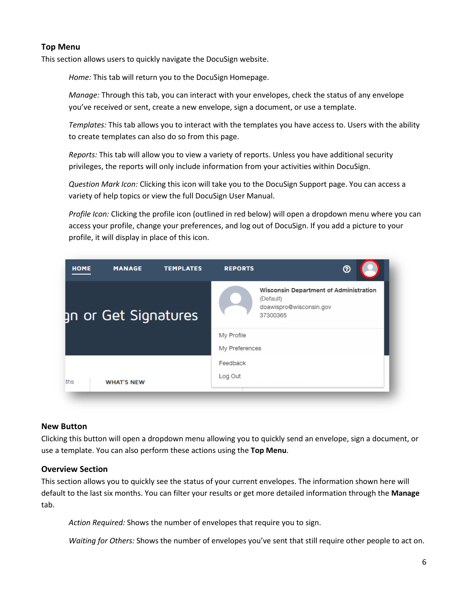#### <span id="page-5-0"></span>**Top Menu**

This section allows users to quickly navigate the DocuSign website.

*Home:* This tab will return you to the DocuSign Homepage.

*Manage:* Through this tab, you can interact with your envelopes, check the status of any envelope you've received or sent, create a new envelope, sign a document, or use a template.

*Templates:* This tab allows you to interact with the templates you have access to. Users with the ability to create templates can also do so from this page.

*Reports:* This tab will allow you to view a variety of reports. Unless you have additional security privileges, the reports will only include information from your activities within DocuSign.

*Question Mark Icon:* Clicking this icon will take you to the DocuSign Support page. You can access a variety of help topics or view the full DocuSign User Manual.

*Profile Icon:* Clicking the profile icon (outlined in red below) will open a dropdown menu where you can access your profile, change your preferences, and log out of DocuSign. If you add a picture to your profile, it will display in place of this icon.

| <b>HOME</b> | <b>MANAGE</b>        | <b>TEMPLATES</b> | <b>REPORTS</b>               | ඹ                                                                                          |
|-------------|----------------------|------------------|------------------------------|--------------------------------------------------------------------------------------------|
|             | gn or Get Signatures |                  |                              | Wisconsin Department of Administration<br>(Default)<br>doawispro@wisconsin.gov<br>37300365 |
|             |                      |                  | My Profile<br>My Preferences |                                                                                            |
| ths         | <b>WHAT'S NEW</b>    |                  | Feedback<br>Log Out          |                                                                                            |
|             |                      |                  |                              |                                                                                            |

#### <span id="page-5-1"></span>**New Button**

Clicking this button will open a dropdown menu allowing you to quickly send an envelope, sign a document, or use a template. You can also perform these actions using the **Top Menu**.

#### <span id="page-5-2"></span>**Overview Section**

This section allows you to quickly see the status of your current envelopes. The information shown here will default to the last six months. You can filter your results or get more detailed information through the **Manage** tab.

*Action Required:* Shows the number of envelopes that require you to sign.

*Waiting for Others:* Shows the number of envelopes you've sent that still require other people to act on.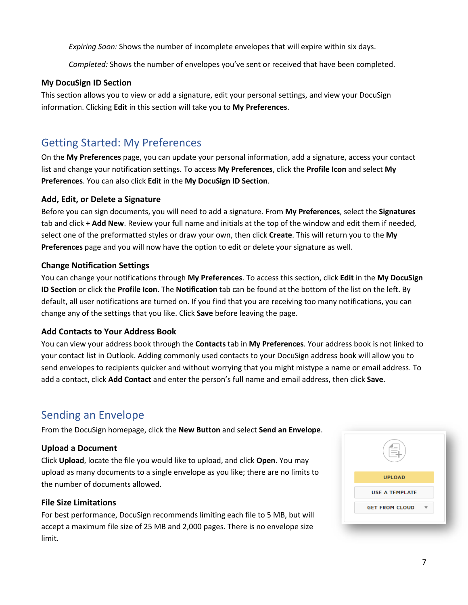*Expiring Soon:* Shows the number of incomplete envelopes that will expire within six days.

*Completed:* Shows the number of envelopes you've sent or received that have been completed.

#### <span id="page-6-0"></span>**My DocuSign ID Section**

This section allows you to view or add a signature, edit your personal settings, and view your DocuSign information. Clicking **Edit** in this section will take you to **My Preferences**.

## <span id="page-6-1"></span>Getting Started: My Preferences

On the **My Preferences** page, you can update your personal information, add a signature, access your contact list and change your notification settings. To access **My Preferences**, click the **Profile Icon** and select **My Preferences**. You can also click **Edit** in the **My DocuSign ID Section**.

#### <span id="page-6-2"></span>**Add, Edit, or Delete a Signature**

Before you can sign documents, you will need to add a signature. From **My Preferences**, select the **Signatures** tab and click **+ Add New**. Review your full name and initials at the top of the window and edit them if needed, select one of the preformatted styles or draw your own, then click **Create**. This will return you to the **My Preferences** page and you will now have the option to edit or delete your signature as well.

#### <span id="page-6-3"></span>**Change Notification Settings**

You can change your notifications through **My Preferences**. To access this section, click **Edit** in the **My DocuSign ID Section** or click the **Profile Icon**. The **Notification** tab can be found at the bottom of the list on the left. By default, all user notifications are turned on. If you find that you are receiving too many notifications, you can change any of the settings that you like. Click **Save** before leaving the page.

#### <span id="page-6-4"></span>**Add Contacts to Your Address Book**

You can view your address book through the **Contacts** tab in **My Preferences**. Your address book is not linked to your contact list in Outlook. Adding commonly used contacts to your DocuSign address book will allow you to send envelopes to recipients quicker and without worrying that you might mistype a name or email address. To add a contact, click **Add Contact** and enter the person's full name and email address, then click **Save**.

## <span id="page-6-5"></span>Sending an Envelope

From the DocuSign homepage, click the **New Button** and select **Send an Envelope**.

#### <span id="page-6-6"></span>**Upload a Document**

Click **Upload**, locate the file you would like to upload, and click **Open**. You may upload as many documents to a single envelope as you like; there are no limits to the number of documents allowed.

#### <span id="page-6-7"></span>**File Size Limitations**

For best performance, DocuSign recommends limiting each file to 5 MB, but will accept a maximum file size of 25 MB and 2,000 pages. There is no envelope size limit.

| <b>UPLOAD</b>         |  |
|-----------------------|--|
| <b>USE A TEMPLATE</b> |  |
| <b>GET FROM CLOUD</b> |  |
|                       |  |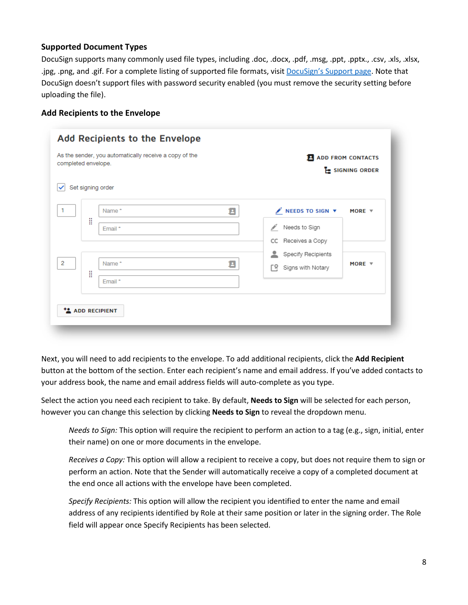#### <span id="page-7-0"></span>**Supported Document Types**

DocuSign supports many commonly used file types, including .doc, .docx, .pdf, .msg, .ppt, .pptx., .csv, .xls, .xlsx, .jpg, .png, and .gif. For a complete listing of supported file formats, visit [DocuSign's Support page.](https://support.docusign.com/guides/ndse-user-guide-supported-file-formats) Note that DocuSign doesn't support files with password security enabled (you must remove the security setting before uploading the file).

#### <span id="page-7-1"></span>**Add Recipients to the Envelope**

| completed envelope. | As the sender, you automatically receive a copy of the |                                                                                                 | <b>ADD FROM CONTACTS</b><br>E SIGNING ORDER |
|---------------------|--------------------------------------------------------|-------------------------------------------------------------------------------------------------|---------------------------------------------|
| Set signing order   |                                                        |                                                                                                 |                                             |
| H                   | Е<br>Name*<br>Email *                                  | $\mathscr{N}$ NEEDS TO SIGN $\blacktriangledown$<br>Needs to Sign<br>ℐ<br>Receives a Copy<br>CC | MORE $\overline{v}$                         |
| H                   | Ξ<br>Name*<br>Email *                                  | ≗<br>Specify Recipients<br>Lö.<br>Signs with Notary                                             | MORE $\overline{v}$                         |

Next, you will need to add recipients to the envelope. To add additional recipients, click the **Add Recipient** button at the bottom of the section. Enter each recipient's name and email address. If you've added contacts to your address book, the name and email address fields will auto-complete as you type.

Select the action you need each recipient to take. By default, **Needs to Sign** will be selected for each person, however you can change this selection by clicking **Needs to Sign** to reveal the dropdown menu.

*Needs to Sign:* This option will require the recipient to perform an action to a tag (e.g., sign, initial, enter their name) on one or more documents in the envelope.

*Receives a Copy:* This option will allow a recipient to receive a copy, but does not require them to sign or perform an action. Note that the Sender will automatically receive a copy of a completed document at the end once all actions with the envelope have been completed.

*Specify Recipients:* This option will allow the recipient you identified to enter the name and email address of any recipients identified by Role at their same position or later in the signing order. The Role field will appear once Specify Recipients has been selected.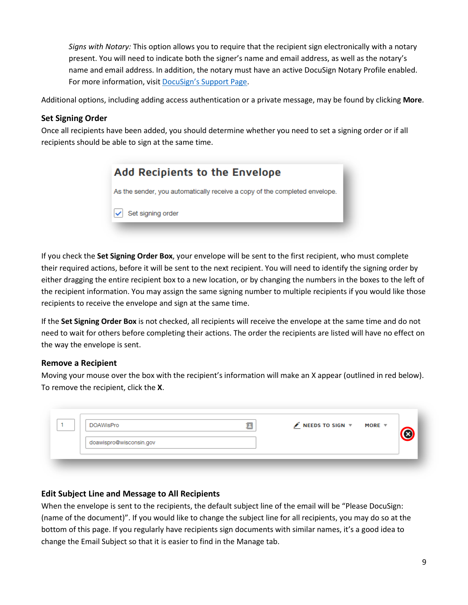*Signs with Notary:* This option allows you to require that the recipient sign electronically with a notary present. You will need to indicate both the signer's name and email address, as well as the notary's name and email address. In addition, the notary must have an active DocuSign Notary Profile enabled. For more information, visi[t DocuSign's Support Page.](https://support.docusign.com/en/guides/signing-with-notary)

Additional options, including adding access authentication or a private message, may be found by clicking **More**.

#### <span id="page-8-0"></span>**Set Signing Order**

Once all recipients have been added, you should determine whether you need to set a signing order or if all recipients should be able to sign at the same time.

| Add Recipients to the Envelope                                             |  |
|----------------------------------------------------------------------------|--|
| As the sender, you automatically receive a copy of the completed envelope. |  |
| Set signing order                                                          |  |

If you check the **Set Signing Order Box**, your envelope will be sent to the first recipient, who must complete their required actions, before it will be sent to the next recipient. You will need to identify the signing order by either dragging the entire recipient box to a new location, or by changing the numbers in the boxes to the left of the recipient information. You may assign the same signing number to multiple recipients if you would like those recipients to receive the envelope and sign at the same time.

If the **Set Signing Order Box** is not checked, all recipients will receive the envelope at the same time and do not need to wait for others before completing their actions. The order the recipients are listed will have no effect on the way the envelope is sent.

#### <span id="page-8-1"></span>**Remove a Recipient**

Moving your mouse over the box with the recipient's information will make an X appear (outlined in red below). To remove the recipient, click the **X**.

| <b>DOAWisPro</b><br>doawispro@wisconsin.gov | $\sqrt{ }$ NEEDS TO SIGN $\forall$ MORE $\forall$ |  |
|---------------------------------------------|---------------------------------------------------|--|
|                                             |                                                   |  |

#### <span id="page-8-2"></span>**Edit Subject Line and Message to All Recipients**

When the envelope is sent to the recipients, the default subject line of the email will be "Please DocuSign: (name of the document)". If you would like to change the subject line for all recipients, you may do so at the bottom of this page. If you regularly have recipients sign documents with similar names, it's a good idea to change the Email Subject so that it is easier to find in the Manage tab.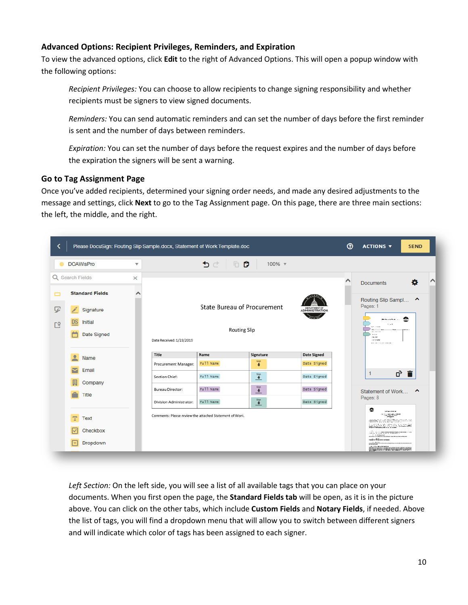#### <span id="page-9-0"></span>**Advanced Options: Recipient Privileges, Reminders, and Expiration**

To view the advanced options, click **Edit** to the right of Advanced Options. This will open a popup window with the following options:

*Recipient Privileges:* You can choose to allow recipients to change signing responsibility and whether recipients must be signers to view signed documents.

*Reminders:* You can send automatic reminders and can set the number of days before the first reminder is sent and the number of days between reminders.

*Expiration:* You can set the number of days before the request expires and the number of days before the expiration the signers will be sent a warning.

#### <span id="page-9-1"></span>**Go to Tag Assignment Page**

Once you've added recipients, determined your signing order needs, and made any desired adjustments to the message and settings, click **Next** to go to the Tag Assignment page. On this page, there are three main sections: the left, the middle, and the right.



*Left Section:* On the left side, you will see a list of all available tags that you can place on your documents. When you first open the page, the **Standard Fields tab** will be open, as it is in the picture above. You can click on the other tabs, which include **Custom Fields** and **Notary Fields**, if needed. Above the list of tags, you will find a dropdown menu that will allow you to switch between different signers and will indicate which color of tags has been assigned to each signer.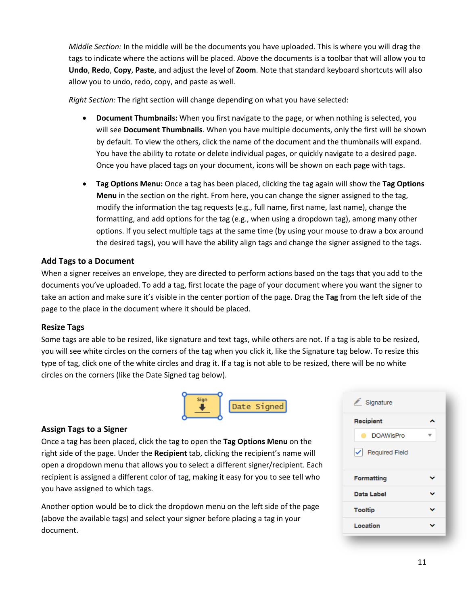*Middle Section:* In the middle will be the documents you have uploaded. This is where you will drag the tags to indicate where the actions will be placed. Above the documents is a toolbar that will allow you to **Undo**, **Redo**, **Copy**, **Paste**, and adjust the level of **Zoom**. Note that standard keyboard shortcuts will also allow you to undo, redo, copy, and paste as well.

*Right Section:* The right section will change depending on what you have selected:

- **Document Thumbnails:** When you first navigate to the page, or when nothing is selected, you will see **Document Thumbnails**. When you have multiple documents, only the first will be shown by default. To view the others, click the name of the document and the thumbnails will expand. You have the ability to rotate or delete individual pages, or quickly navigate to a desired page. Once you have placed tags on your document, icons will be shown on each page with tags.
- **Tag Options Menu:** Once a tag has been placed, clicking the tag again will show the **Tag Options Menu** in the section on the right. From here, you can change the signer assigned to the tag, modify the information the tag requests (e.g., full name, first name, last name), change the formatting, and add options for the tag (e.g., when using a dropdown tag), among many other options. If you select multiple tags at the same time (by using your mouse to draw a box around the desired tags), you will have the ability align tags and change the signer assigned to the tags.

#### <span id="page-10-0"></span>**Add Tags to a Document**

When a signer receives an envelope, they are directed to perform actions based on the tags that you add to the documents you've uploaded. To add a tag, first locate the page of your document where you want the signer to take an action and make sure it's visible in the center portion of the page. Drag the **Tag** from the left side of the page to the place in the document where it should be placed.

#### <span id="page-10-1"></span>**Resize Tags**

Some tags are able to be resized, like signature and text tags, while others are not. If a tag is able to be resized, you will see white circles on the corners of the tag when you click it, like the Signature tag below. To resize this type of tag, click one of the white circles and drag it. If a tag is not able to be resized, there will be no white circles on the corners (like the Date Signed tag below).



#### <span id="page-10-2"></span>**Assign Tags to a Signer**

Once a tag has been placed, click the tag to open the **Tag Options Menu** on the right side of the page. Under the **Recipient** tab, clicking the recipient's name will open a dropdown menu that allows you to select a different signer/recipient. Each recipient is assigned a different color of tag, making it easy for you to see tell who you have assigned to which tags.

Another option would be to click the dropdown menu on the left side of the page (above the available tags) and select your signer before placing a tag in your document.

| Signature                       |  |
|---------------------------------|--|
| Recipient                       |  |
| <b>DOAWisPro</b>                |  |
| $\triangleright$ Required Field |  |
| Formatting                      |  |
| Data Label                      |  |
|                                 |  |
| <b>Tooltip</b>                  |  |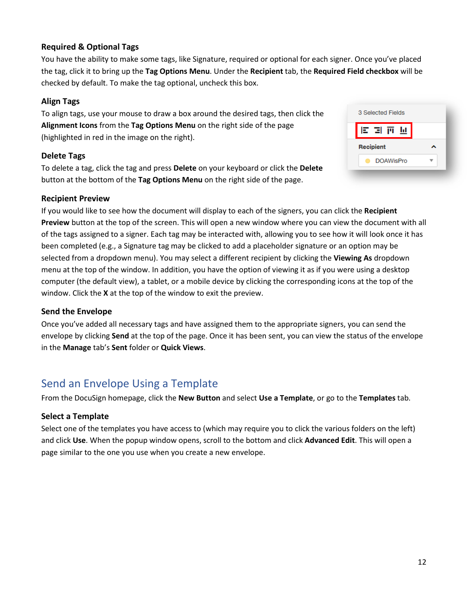#### <span id="page-11-0"></span>**Required & Optional Tags**

You have the ability to make some tags, like Signature, required or optional for each signer. Once you've placed the tag, click it to bring up the **Tag Options Menu**. Under the **Recipient** tab, the **Required Field checkbox** will be checked by default. To make the tag optional, uncheck this box.

#### <span id="page-11-1"></span>**Align Tags**

To align tags, use your mouse to draw a box around the desired tags, then click the **Alignment Icons** from the **Tag Options Menu** on the right side of the page (highlighted in red in the image on the right).

#### <span id="page-11-2"></span>**Delete Tags**

To delete a tag, click the tag and press **Delete** on your keyboard or click the **Delete** button at the bottom of the **Tag Options Menu** on the right side of the page.

#### <span id="page-11-3"></span>**Recipient Preview**

If you would like to see how the document will display to each of the signers, you can click the **Recipient Preview** button at the top of the screen. This will open a new window where you can view the document with all of the tags assigned to a signer. Each tag may be interacted with, allowing you to see how it will look once it has been completed (e.g., a Signature tag may be clicked to add a placeholder signature or an option may be selected from a dropdown menu). You may select a different recipient by clicking the **Viewing As** dropdown menu at the top of the window. In addition, you have the option of viewing it as if you were using a desktop computer (the default view), a tablet, or a mobile device by clicking the corresponding icons at the top of the window. Click the **X** at the top of the window to exit the preview.

#### <span id="page-11-4"></span>**Send the Envelope**

Once you've added all necessary tags and have assigned them to the appropriate signers, you can send the envelope by clicking **Send** at the top of the page. Once it has been sent, you can view the status of the envelope in the **Manage** tab's **Sent** folder or **Quick Views**.

## <span id="page-11-5"></span>Send an Envelope Using a Template

From the DocuSign homepage, click the **New Button** and select **Use a Template**, or go to the **Templates** tab.

#### <span id="page-11-6"></span>**Select a Template**

Select one of the templates you have access to (which may require you to click the various folders on the left) and click **Use**. When the popup window opens, scroll to the bottom and click **Advanced Edit**. This will open a page similar to the one you use when you create a new envelope.

| 3 Selected Fields |  |
|-------------------|--|
| 同国面               |  |
| Recipient         |  |
|                   |  |
| <b>DOAWisPro</b>  |  |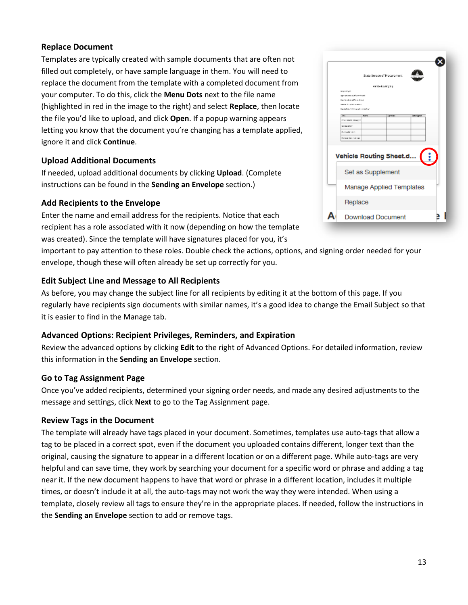#### <span id="page-12-0"></span>**Replace Document**

Templates are typically created with sample documents that are often not filled out completely, or have sample language in them. You will need to replace the document from the template with a completed document from your computer. To do this, click the **Menu Dots** next to the file name (highlighted in red in the image to the right) and select **Replace**, then locate the file you'd like to upload, and click **Open**. If a popup warning appears letting you know that the document you're changing has a template applied, ignore it and click **Continue**.

#### <span id="page-12-1"></span>**Upload Additional Documents**

If needed, upload additional documents by clicking **Upload**. (Complete instructions can be found in the **Sending an Envelope** section.)

#### <span id="page-12-2"></span>**Add Recipients to the Envelope**

Enter the name and email address for the recipients. Notice that each recipient has a role associated with it now (depending on how the template was created). Since the template will have signatures placed for you, it's

important to pay attention to these roles. Double check the actions, options, and signing order needed for your envelope, though these will often already be set up correctly for you.

#### <span id="page-12-3"></span>**Edit Subject Line and Message to All Recipients**

As before, you may change the subject line for all recipients by editing it at the bottom of this page. If you regularly have recipients sign documents with similar names, it's a good idea to change the Email Subject so that it is easier to find in the Manage tab.

#### <span id="page-12-4"></span>**Advanced Options: Recipient Privileges, Reminders, and Expiration**

Review the advanced options by clicking **Edit** to the right of Advanced Options. For detailed information, review this information in the **Sending an Envelope** section.

#### <span id="page-12-5"></span>**Go to Tag Assignment Page**

Once you've added recipients, determined your signing order needs, and made any desired adjustments to the message and settings, click **Next** to go to the Tag Assignment page.

#### <span id="page-12-6"></span>**Review Tags in the Document**

The template will already have tags placed in your document. Sometimes, templates use auto-tags that allow a tag to be placed in a correct spot, even if the document you uploaded contains different, longer text than the original, causing the signature to appear in a different location or on a different page. While auto-tags are very helpful and can save time, they work by searching your document for a specific word or phrase and adding a tag near it. If the new document happens to have that word or phrase in a different location, includes it multiple times, or doesn't include it at all, the auto-tags may not work the way they were intended. When using a template, closely review all tags to ensure they're in the appropriate places. If needed, follow the instructions in the **Sending an Envelope** section to add or remove tags.

|                                                                     | State Bureau of Procurement |            |  |
|---------------------------------------------------------------------|-----------------------------|------------|--|
|                                                                     |                             |            |  |
| <b>Basica Favo</b>                                                  | vahide Pouning Silip        |            |  |
| age an annual bill a rechural                                       |                             |            |  |
| East first levels all it as details                                 |                             |            |  |
| Vehicle D 1 site has defined<br>Depoision of Gristo, 400 Listenburg |                             |            |  |
|                                                                     |                             |            |  |
| <b>WA</b><br>Sans.<br>Final research Motorche                       | <b>Santrase</b>             | MAI Signor |  |
| Greise Crief                                                        |                             |            |  |
| <b>Bureau Services</b>                                              |                             |            |  |
| Division this mistrate                                              |                             |            |  |
|                                                                     |                             |            |  |
| Vehicle Routing Sheet.d                                             |                             |            |  |
| Set as Supplement                                                   |                             |            |  |
| Manage Applied Templates                                            |                             |            |  |
| Replace                                                             |                             |            |  |
| <b>Download Document</b>                                            |                             |            |  |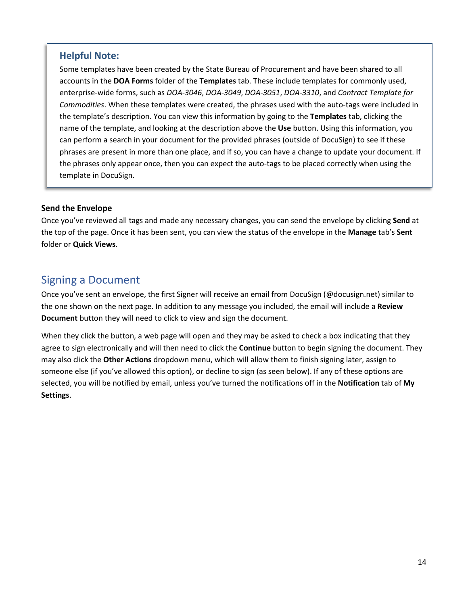### **Helpful Note:**

Some templates have been created by the State Bureau of Procurement and have been shared to all accounts in the **DOA Forms** folder of the **Templates** tab. These include templates for commonly used, enterprise-wide forms, such as *DOA-3046*, *DOA-3049*, *DOA-3051*, *DOA-3310*, and *Contract Template for Commodities*. When these templates were created, the phrases used with the auto-tags were included in the template's description. You can view this information by going to the **Templates** tab, clicking the name of the template, and looking at the description above the **Use** button. Using this information, you can perform a search in your document for the provided phrases (outside of DocuSign) to see if these phrases are present in more than one place, and if so, you can have a change to update your document. If the phrases only appear once, then you can expect the auto-tags to be placed correctly when using the template in DocuSign.

#### <span id="page-13-0"></span>**Send the Envelope**

Once you've reviewed all tags and made any necessary changes, you can send the envelope by clicking **Send** at the top of the page. Once it has been sent, you can view the status of the envelope in the **Manage** tab's **Sent** folder or **Quick Views**.

## <span id="page-13-1"></span>Signing a Document

Once you've sent an envelope, the first Signer will receive an email from DocuSign (@docusign.net) similar to the one shown on the next page. In addition to any message you included, the email will include a **Review Document** button they will need to click to view and sign the document.

When they click the button, a web page will open and they may be asked to check a box indicating that they agree to sign electronically and will then need to click the **Continue** button to begin signing the document. They may also click the **Other Actions** dropdown menu, which will allow them to finish signing later, assign to someone else (if you've allowed this option), or decline to sign (as seen below). If any of these options are selected, you will be notified by email, unless you've turned the notifications off in the **Notification** tab of **My Settings**.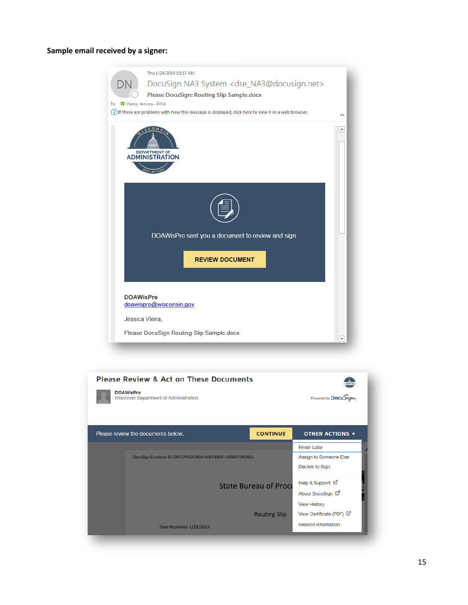#### **Sample email received by a signer:**



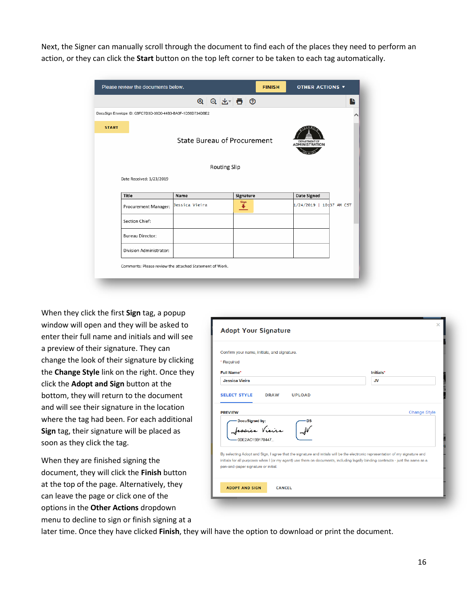Next, the Signer can manually scroll through the document to find each of the places they need to perform an action, or they can click the **Start** button on the top left corner to be taken to each tag automatically.

|              | Please review the documents below.                         |                                    |                     |           | <b>FINISH</b> | <b>OTHER ACTIONS Y</b>                        |   |
|--------------|------------------------------------------------------------|------------------------------------|---------------------|-----------|---------------|-----------------------------------------------|---|
|              |                                                            |                                    |                     |           |               |                                               | L |
|              | DocuSign Envelope ID: C8FC7D3D-38D0-44B3-BA3F-1D56D734DBE2 |                                    |                     |           |               |                                               |   |
| <b>START</b> |                                                            | <b>State Bureau of Procurement</b> |                     |           |               | <b>DEPARTMENT OF</b><br><b>ADMINISTRATION</b> |   |
|              |                                                            |                                    | <b>Routing Slip</b> |           |               |                                               |   |
|              | Date Received: 1/23/2019                                   |                                    |                     |           |               |                                               |   |
|              | <b>Title</b>                                               | Name                               |                     | Signature |               | <b>Date Signed</b>                            |   |
|              | Procurement Manager:                                       | Jessica Vieira                     |                     | Sign<br>٠ |               | 1/24/2019   10:37 AM CST                      |   |
|              | Section Chief:                                             |                                    |                     |           |               |                                               |   |
|              | <b>Bureau Director:</b>                                    |                                    |                     |           |               |                                               |   |
|              | Division Administrator:                                    |                                    |                     |           |               |                                               |   |
|              | Comments: Please review the attached Statement of Work.    |                                    |                     |           |               |                                               |   |

When they click the first **Sign** tag, a popup window will open and they will be asked to enter their full name and initials and will see a preview of their signature. They can change the look of their signature by clicking the **Change Style** link on the right. Once they click the **Adopt and Sign** button at the bottom, they will return to the document and will see their signature in the location where the tag had been. For each additional **Sign** tag, their signature will be placed as soon as they click the tag.

When they are finished signing the document, they will click the **Finish** button at the top of the page. Alternatively, they can leave the page or click one of the options in the **Other Actions** dropdown menu to decline to sign or finish signing at a

| Confirm your name, initials, and signature. |                     |
|---------------------------------------------|---------------------|
| * Required                                  |                     |
| <b>Full Name*</b>                           | Initials*           |
| <b>Jessica Vieira</b>                       | <b>JV</b>           |
| <b>PREVIEW</b><br>DocuSigned by:<br>DS      | <b>Change Style</b> |
| essies Vieirs<br>0DE2AC19B170447            |                     |

later time. Once they have clicked **Finish**, they will have the option to download or print the document.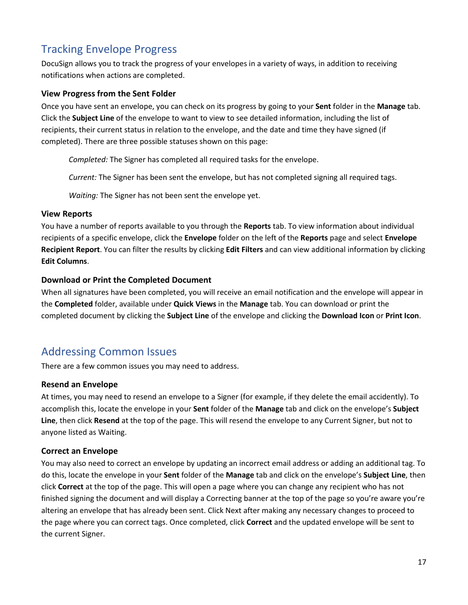## <span id="page-16-0"></span>Tracking Envelope Progress

DocuSign allows you to track the progress of your envelopes in a variety of ways, in addition to receiving notifications when actions are completed.

#### <span id="page-16-1"></span>**View Progress from the Sent Folder**

Once you have sent an envelope, you can check on its progress by going to your **Sent** folder in the **Manage** tab. Click the **Subject Line** of the envelope to want to view to see detailed information, including the list of recipients, their current status in relation to the envelope, and the date and time they have signed (if completed). There are three possible statuses shown on this page:

*Completed:* The Signer has completed all required tasks for the envelope.

*Current:* The Signer has been sent the envelope, but has not completed signing all required tags.

*Waiting:* The Signer has not been sent the envelope yet.

#### <span id="page-16-2"></span>**View Reports**

You have a number of reports available to you through the **Reports** tab. To view information about individual recipients of a specific envelope, click the **Envelope** folder on the left of the **Reports** page and select **Envelope Recipient Report**. You can filter the results by clicking **Edit Filters** and can view additional information by clicking **Edit Columns**.

#### <span id="page-16-3"></span>**Download or Print the Completed Document**

When all signatures have been completed, you will receive an email notification and the envelope will appear in the **Completed** folder, available under **Quick Views** in the **Manage** tab. You can download or print the completed document by clicking the **Subject Line** of the envelope and clicking the **Download Icon** or **Print Icon**.

## <span id="page-16-4"></span>Addressing Common Issues

There are a few common issues you may need to address.

#### <span id="page-16-5"></span>**Resend an Envelope**

At times, you may need to resend an envelope to a Signer (for example, if they delete the email accidently). To accomplish this, locate the envelope in your **Sent** folder of the **Manage** tab and click on the envelope's **Subject Line**, then click **Resend** at the top of the page. This will resend the envelope to any Current Signer, but not to anyone listed as Waiting.

#### <span id="page-16-6"></span>**Correct an Envelope**

You may also need to correct an envelope by updating an incorrect email address or adding an additional tag. To do this, locate the envelope in your **Sent** folder of the **Manage** tab and click on the envelope's **Subject Line**, then click **Correct** at the top of the page. This will open a page where you can change any recipient who has not finished signing the document and will display a Correcting banner at the top of the page so you're aware you're altering an envelope that has already been sent. Click Next after making any necessary changes to proceed to the page where you can correct tags. Once completed, click **Correct** and the updated envelope will be sent to the current Signer.